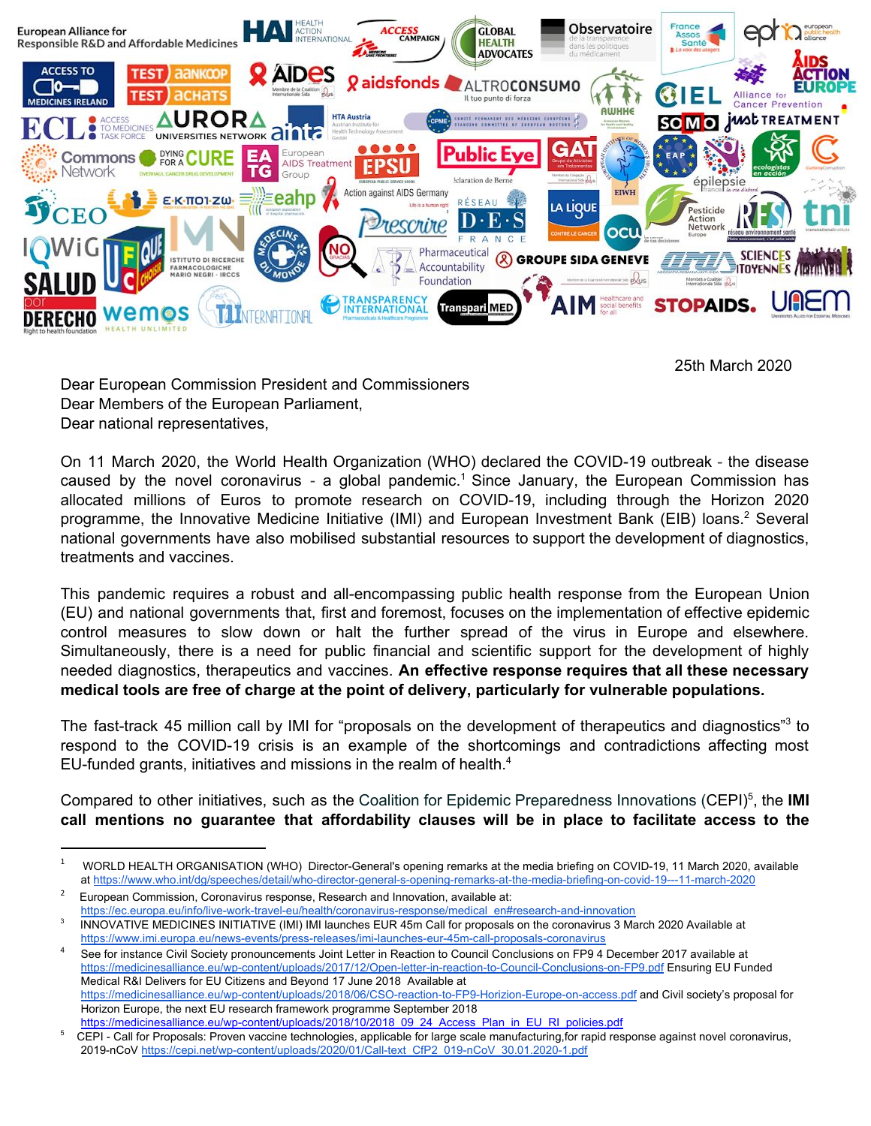

25th March 2020

Dear European Commission President and Commissioners Dear Members of the European Parliament, Dear national representatives,

On 11 March 2020, the World Health Organization (WHO) declared the COVID-19 outbreak - the disease caused by the novel coronavirus - a global pandemic.<sup>1</sup> Since January, the European Commission has allocated millions of Euros to promote research on COVID-19, including through the Horizon 2020 programme, the Innovative Medicine Initiative (IMI) and European Investment Bank (EIB) loans.<sup>2</sup> Several national governments have also mobilised substantial resources to support the development of diagnostics, treatments and vaccines.

This pandemic requires a robust and all-encompassing public health response from the European Union (EU) and national governments that, first and foremost, focuses on the implementation of effective epidemic control measures to slow down or halt the further spread of the virus in Europe and elsewhere. Simultaneously, there is a need for public financial and scientific support for the development of highly needed diagnostics, therapeutics and vaccines. **An effective response requires that all these necessary medical tools are free of charge at the point of delivery, particularly for vulnerable populations.** 

The fast-track 45 million call by IMI for "proposals on the development of therapeutics and diagnostics"<sup>3</sup> to respond to the COVID-19 crisis is an example of the shortcomings and contradictions affecting most EU-funded grants, initiatives and missions in the realm of health. <sup>4</sup>

Compared to other initiatives, such as the Coalition for Epidemic Preparedness Innovations (CEPI)<sup>5</sup>, the **IMI call mentions no guarantee that affordability clauses will be in place to facilitate access to the** 

<sup>1</sup> WORLD HEALTH ORGANISATION (WHO) Director-General's opening remarks at the media briefing on COVID-19, 11 March 2020, available at <https://www.who.int/dg/speeches/detail/who-director-general-s-opening-remarks-at-the-media-briefing-on-covid-19---11-march-2020>

<sup>2</sup> European Commission, Coronavirus response, Research and Innovation, available at: https://ec.europa.eu/info/live-work-travel-eu/health/coronavirus-response/medical\_en#research-and-innovation

<sup>3</sup> INNOVATIVE MEDICINES INITIATIVE (IMI) IMI launches EUR 45m Call for proposals on the coronavirus 3 March 2020 Available at <https://www.imi.europa.eu/news-events/press-releases/imi-launches-eur-45m-call-proposals-coronavirus>

See for instance Civil Society pronouncements Joint Letter in Reaction to Council Conclusions on FP9 4 December 2017 available at <https://medicinesalliance.eu/wp-content/uploads/2017/12/Open-letter-in-reaction-to-Council-Conclusions-on-FP9.pdf> Ensuring EU Funded Medical R&I Delivers for EU Citizens and Beyond 17 June 2018 Available at <https://medicinesalliance.eu/wp-content/uploads/2018/06/CSO-reaction-to-FP9-Horizion-Europe-on-access.pdf>and Civil society's proposal for Horizon Europe, the next EU research framework programme September 2018

[https://medicinesalliance.eu/wp-content/uploads/2018/10/2018\\_09\\_24\\_Access\\_Plan\\_in\\_EU\\_RI\\_policies.pdf](https://medicinesalliance.eu/wp-content/uploads/2018/10/2018_09_24_Access_Plan_in_EU_RI_policies.pdf)

<sup>5</sup> CEPI - Call for Proposals: Proven vaccine technologies, applicable for large scale manufacturing,for rapid response against novel coronavirus, 2019-nCoV [https://cepi.net/wp-content/uploads/2020/01/Call-text\\_CfP2\\_019-nCoV\\_30.01.2020-1.pdf](https://cepi.net/wp-content/uploads/2020/01/Call-text_CfP2_019-nCoV_30.01.2020-1.pdf)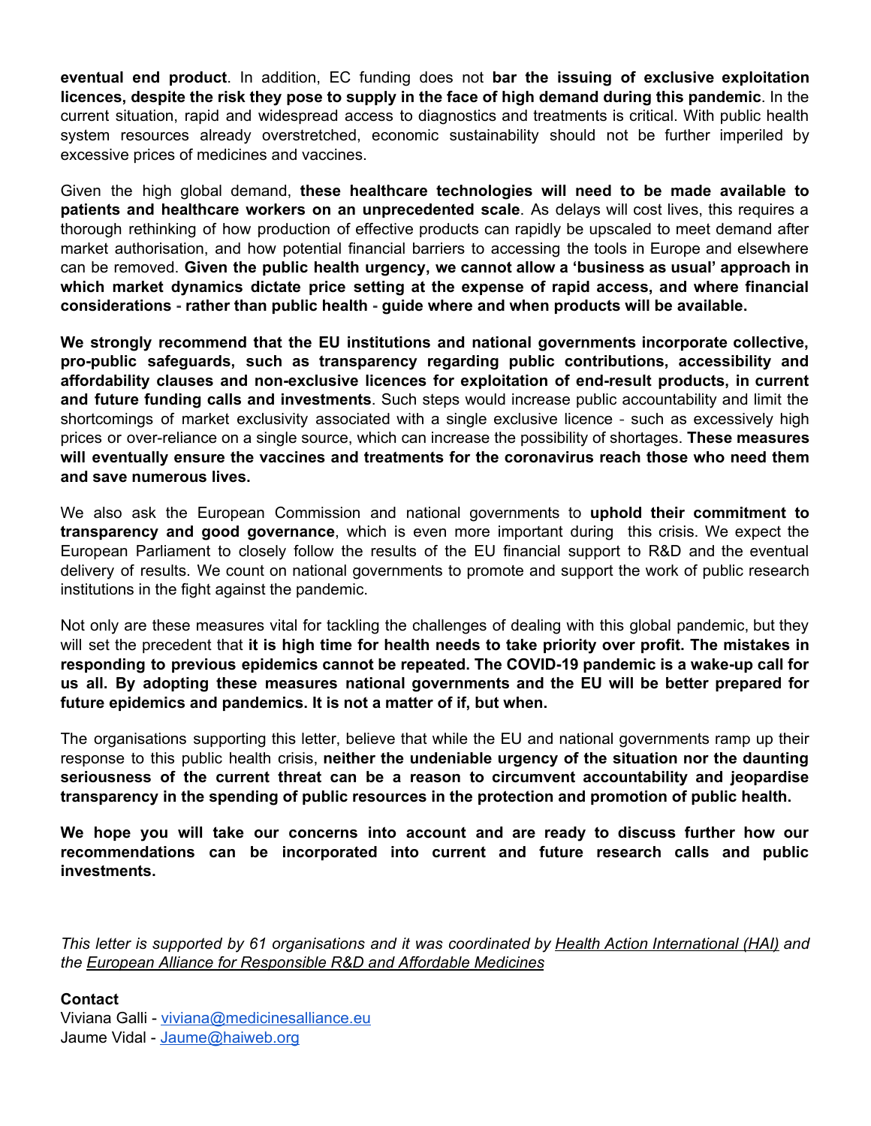**eventual end product**. In addition, EC funding does not **bar the issuing of exclusive exploitation licences, despite the risk they pose to supply in the face of high demand during this pandemic**. In the current situation, rapid and widespread access to diagnostics and treatments is critical. With public health system resources already overstretched, economic sustainability should not be further imperiled by excessive prices of medicines and vaccines.

Given the high global demand, **these healthcare technologies will need to be made available to patients and healthcare workers on an unprecedented scale** . As delays will cost lives, this requires a thorough rethinking of how production of effective products can rapidly be upscaled to meet demand after market authorisation, and how potential financial barriers to accessing the tools in Europe and elsewhere can be removed. **Given the public health urgency, we cannot allow a 'business as usual' approach in which market dynamics dictate price setting at the expense of rapid access, and where financial considerations - rather than public health - guide where and when products will be available.**

**We strongly recommend that the EU institutions and national governments incorporate collective, pro-public safeguards, such as transparency regarding public contributions, accessibility and affordability clauses and non-exclusive licences for exploitation of end-result products, in current**  and future funding calls and investments. Such steps would increase public accountability and limit the shortcomings of market exclusivity associated with a single exclusive licence - such as excessively high prices or over-reliance on a single source, which can increase the possibility of shortages. **These measures will eventually ensure the vaccines and treatments for the coronavirus reach those who need them and save numerous lives.**

We also ask the European Commission and national governments to **uphold their commitment to transparency and good governance**, which is even more important during this crisis. We expect the European Parliament to closely follow the results of the EU financial support to R&D and the eventual delivery of results. We count on national governments to promote and support the work of public research institutions in the fight against the pandemic.

Not only are these measures vital for tackling the challenges of dealing with this global pandemic, but they will set the precedent that **it is high time for health needs to take priority over profit. The mistakes in responding to previous epidemics cannot be repeated. The COVID-19 pandemic is a wake-up call for us all. By adopting these measures national governments and the EU will be better prepared for future epidemics and pandemics. It is not a matter of if, but when.**

The organisations supporting this letter, believe that while the EU and national governments ramp up their response to this public health crisis, **neither the undeniable urgency of the situation nor the daunting seriousness of the current threat can be a reason to circumvent accountability and jeopardise transparency in the spending of public resources in the protection and promotion of public health.** 

**We hope you will take our concerns into account and are ready to discuss further how our recommendations can be incorporated into current and future research calls and public investments.**

*This letter is supported by 61 organisations and it was coordinated by Health Action International (HAI) and the European Alliance for Responsible R&D and Affordable Medicines* 

**Contact**  Viviana Galli - [viviana@medicinesalliance.eu](mailto:viviana@medicinesalliance.eu)  Jaume Vidal - [Jaume@haiweb.org](mailto:Jaume@haiweb.org)